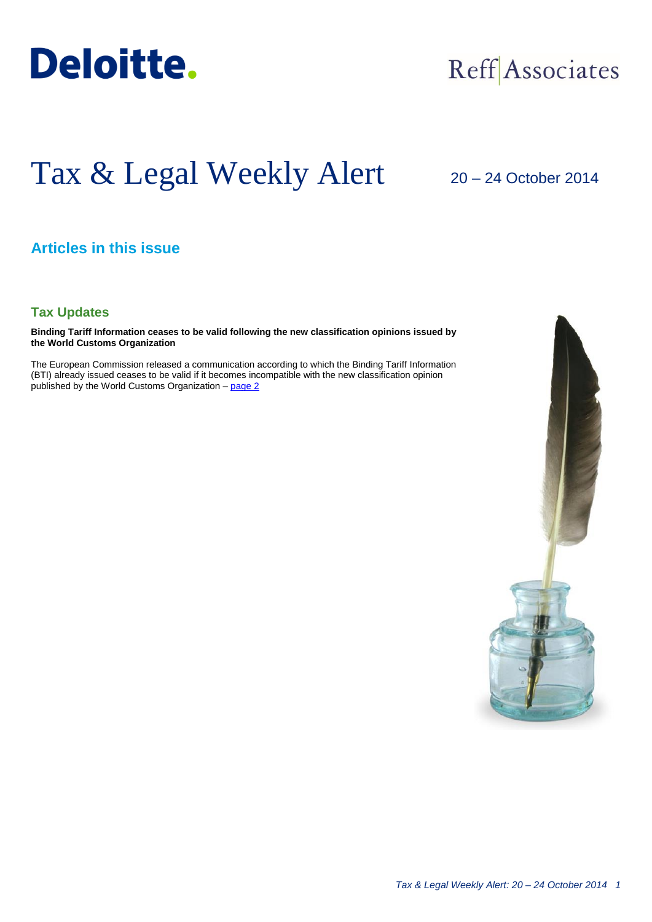

## Reff Associates

# Tax & Legal Weekly Alert

### 20 – 24 October 2014

#### **Articles in this issue**

#### **Tax Updates**

**Binding Tariff Information ceases to be valid following the new classification opinions issued by the World Customs Organization**

The European Commission released a communication according to which the Binding Tariff Information (BTI) already issued ceases to be valid if it becomes incompatible with the new classification opinion published by the World Customs Organization - [page 2](#page-1-0)

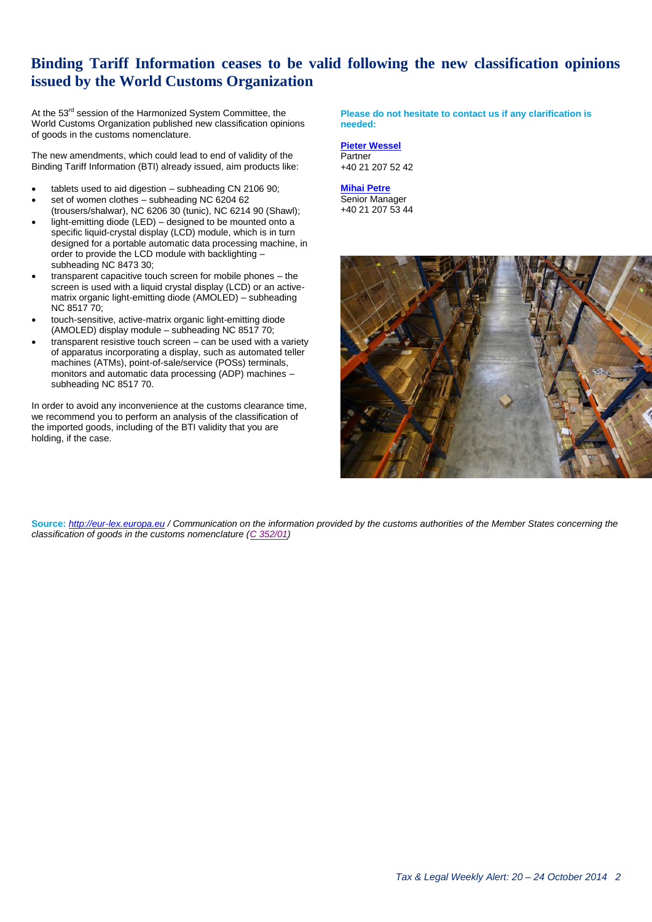#### <span id="page-1-0"></span>**Binding Tariff Information ceases to be valid following the new classification opinions issued by the World Customs Organization**

At the 53<sup>rd</sup> session of the Harmonized System Committee, the World Customs Organization published new classification opinions of goods in the customs nomenclature.

The new amendments, which could lead to end of validity of the Binding Tariff Information (BTI) already issued, aim products like:

- tablets used to aid digestion subheading CN 2106 90;
- set of women clothes subheading NC 6204 62 (trousers/shalwar), NC 6206 30 (tunic), NC 6214 90 (Shawl);
- light-emitting diode (LED) designed to be mounted onto a specific liquid-crystal display (LCD) module, which is in turn designed for a portable automatic data processing machine, in order to provide the LCD module with backlighting – subheading NC 8473 30;
- transparent capacitive touch screen for mobile phones the screen is used with a liquid crystal display (LCD) or an activematrix organic light-emitting diode (AMOLED) – subheading NC 8517 70;
- touch-sensitive, active-matrix organic light-emitting diode (AMOLED) display module – subheading NC 8517 70;
- transparent resistive touch screen can be used with a variety of apparatus incorporating a display, such as automated teller machines (ATMs), point-of-sale/service (POSs) terminals, monitors and automatic data processing (ADP) machines – subheading NC 8517 70.

In order to avoid any inconvenience at the customs clearance time, we recommend you to perform an analysis of the classification of the imported goods, including of the BTI validity that you are holding, if the case.

**Please do not hesitate to contact us if any clarification is needed:**

**[Pieter Wessel](mailto:pwessel@deloittece.com)** Partner +40 21 207 52 42

**[Mihai Petre](mailto:mipetre@deloittece.com)** Senior Manager +40 21 207 53 44



**Source:** *[http://eur-lex.europa.eu](http://eur-lex.europa.eu/) / Communication on the information provided by the customs authorities of the Member States concerning the classification of goods in the customs nomenclature [\(C 352/01\)](http://eur-lex.europa.eu/legal-content/EN/TXT/HTML/?uri=CELEX:52014XC1007(01)&from=RO)*